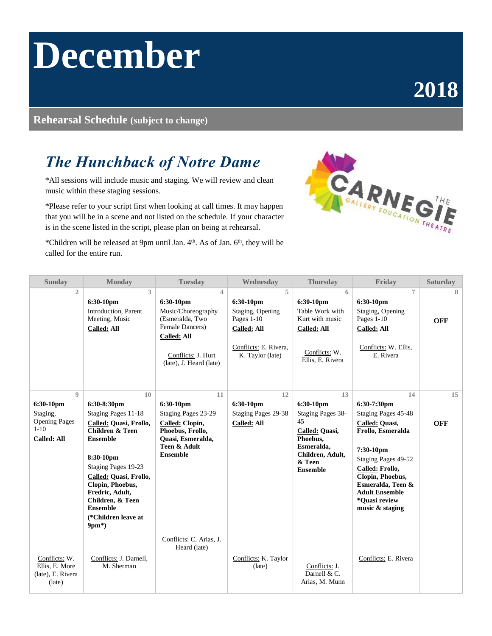# **December**

## **2018**

#### **Rehearsal Schedule (subject to change)**

### *The Hunchback of Notre Dame*

\*All sessions will include music and staging. We will review and clean music within these staging sessions.

\*Please refer to your script first when looking at call times. It may happen that you will be in a scene and not listed on the schedule. If your character is in the scene listed in the script, please plan on being at rehearsal.



\*Children will be released at 9pm until Jan. 4th. As of Jan. 6th, they will be called for the entire run.

| <b>Sunday</b>                                                                           | <b>Monday</b>                                                                                                                                                                                                                                                                                     | <b>Tuesday</b>                                                                                                                                    | Wednesday                                                                                                           | <b>Thursday</b>                                                                                                                         | Friday                                                                                                                                                                                                                                       | <b>Saturday</b>  |
|-----------------------------------------------------------------------------------------|---------------------------------------------------------------------------------------------------------------------------------------------------------------------------------------------------------------------------------------------------------------------------------------------------|---------------------------------------------------------------------------------------------------------------------------------------------------|---------------------------------------------------------------------------------------------------------------------|-----------------------------------------------------------------------------------------------------------------------------------------|----------------------------------------------------------------------------------------------------------------------------------------------------------------------------------------------------------------------------------------------|------------------|
| $\mathfrak{2}$                                                                          | 3<br>6:30-10pm<br>Introduction, Parent<br>Meeting, Music<br><b>Called: All</b>                                                                                                                                                                                                                    | 4<br>6:30-10pm<br>Music/Choreography<br>(Esmeralda, Two<br>Female Dancers)<br><b>Called: All</b><br>Conflicts: J. Hurt<br>(late), J. Heard (late) | 5<br>6:30-10pm<br>Staging, Opening<br>Pages 1-10<br><b>Called: All</b><br>Conflicts: E. Rivera,<br>K. Taylor (late) | 6<br>6:30-10pm<br>Table Work with<br>Kurt with music<br>Called: All<br>Conflicts: W.<br>Ellis, E. Rivera                                | $\overline{7}$<br>6:30-10pm<br>Staging, Opening<br>Pages 1-10<br><b>Called: All</b><br>Conflicts: W. Ellis,<br>E. Rivera                                                                                                                     | 8<br><b>OFF</b>  |
| $\mathbf 0$<br>6:30-10pm<br>Staging,<br><b>Opening Pages</b><br>$1 - 10$<br>Called: All | 10<br>6:30-8:30pm<br>Staging Pages 11-18<br>Called: Quasi, Frollo,<br><b>Children &amp; Teen</b><br><b>Ensemble</b><br>8:30-10pm<br>Staging Pages 19-23<br>Called: Quasi, Frollo,<br>Clopin, Phoebus,<br>Fredric, Adult,<br>Children, & Teen<br><b>Ensemble</b><br>(*Children leave at<br>$9pm*)$ | 11<br>$6:30-10$ pm<br>Staging Pages 23-29<br>Called: Clopin,<br>Phoebus, Frollo,<br>Quasi, Esmeralda,<br>Teen & Adult<br><b>Ensemble</b>          | 12<br>6:30-10pm<br>Staging Pages 29-38<br><b>Called: All</b>                                                        | 13<br>6:30-10pm<br>Staging Pages 38-<br>45<br>Called: Quasi,<br>Phoebus,<br>Esmeralda.<br>Children, Adult,<br>& Teen<br><b>Ensemble</b> | 14<br>6:30-7:30pm<br>Staging Pages 45-48<br>Called: Quasi,<br>Frollo, Esmeralda<br>7:30-10pm<br>Staging Pages 49-52<br>Called: Frollo,<br>Clopin, Phoebus,<br>Esmeralda, Teen &<br><b>Adult Ensemble</b><br>*Ouasi review<br>music & staging | 15<br><b>OFF</b> |
| Conflicts: W.<br>Ellis, E. More<br>(late), E. Rivera<br>(late)                          | Conflicts: J. Darnell,<br>M. Sherman                                                                                                                                                                                                                                                              | Conflicts: C. Arias, J.<br>Heard (late)                                                                                                           | Conflicts: K. Taylor<br>(late)                                                                                      | Conflicts: J.<br>Darnell & C.<br>Arias, M. Munn                                                                                         | Conflicts: E. Rivera                                                                                                                                                                                                                         |                  |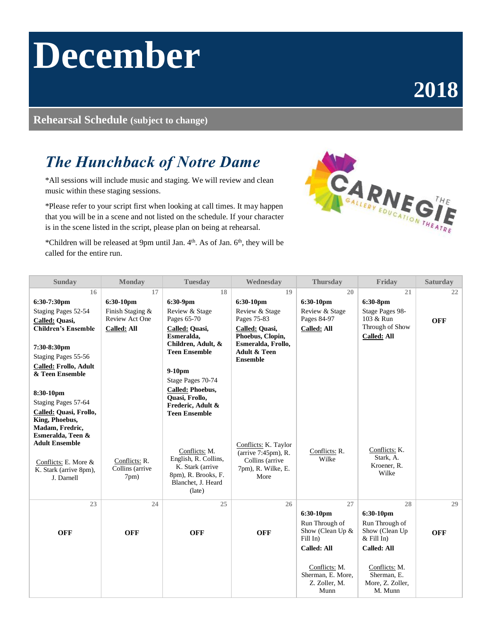# **December**

## **2018**

#### **Rehearsal Schedule (subject to change)**

### *The Hunchback of Notre Dame*

\*All sessions will include music and staging. We will review and clean music within these staging sessions.

\*Please refer to your script first when looking at call times. It may happen that you will be in a scene and not listed on the schedule. If your character is in the scene listed in the script, please plan on being at rehearsal.



\*Children will be released at 9pm until Jan. 4th. As of Jan. 6th, they will be called for the entire run.

| <b>Sunday</b>                                                                                                                                                                                                                                                     | <b>Monday</b>                                                               | <b>Tuesday</b>                                                                                                                                                                                                                                            | Wednesday                                                                                                                                                  | <b>Thursday</b>                                                                         | Friday                                                                                    | <b>Saturday</b>  |
|-------------------------------------------------------------------------------------------------------------------------------------------------------------------------------------------------------------------------------------------------------------------|-----------------------------------------------------------------------------|-----------------------------------------------------------------------------------------------------------------------------------------------------------------------------------------------------------------------------------------------------------|------------------------------------------------------------------------------------------------------------------------------------------------------------|-----------------------------------------------------------------------------------------|-------------------------------------------------------------------------------------------|------------------|
| 16<br>6:30-7:30pm<br>Staging Pages 52-54<br>Called: Quasi,<br><b>Children's Ensemble</b><br>7:30-8:30pm<br>Staging Pages 55-56<br><b>Called: Frollo, Adult</b><br>& Teen Ensemble<br>8:30-10pm<br>Staging Pages 57-64<br>Called: Quasi, Frollo,<br>King, Phoebus, | 17<br>6:30-10pm<br>Finish Staging &<br>Review Act One<br><b>Called: All</b> | 18<br>6:30-9pm<br>Review & Stage<br>Pages 65-70<br>Called: Quasi,<br>Esmeralda,<br>Children, Adult, &<br><b>Teen Ensemble</b><br>$9-10$ pm<br>Stage Pages 70-74<br><b>Called: Phoebus,</b><br>Quasi, Frollo,<br>Frederic, Adult &<br><b>Teen Ensemble</b> | 19<br>6:30-10pm<br>Review & Stage<br>Pages 75-83<br>Called: Quasi,<br>Phoebus, Clopin,<br>Esmeralda, Frollo,<br><b>Adult &amp; Teen</b><br><b>Ensemble</b> | 20<br>6:30-10pm<br>Review & Stage<br>Pages 84-97<br><b>Called: All</b>                  | 21<br>6:30-8pm<br>Stage Pages 98-<br>103 & Run<br>Through of Show<br><b>Called: All</b>   | 22<br><b>OFF</b> |
| Madam, Fredric,<br>Esmeralda, Teen &<br><b>Adult Ensemble</b><br>Conflicts: E. More &<br>K. Stark (arrive 8pm),<br>J. Darnell                                                                                                                                     | Conflicts: R.<br>Collins (arrive<br>7pm)                                    | Conflicts: M.<br>English, R. Collins,<br>K. Stark (arrive<br>8pm), R. Brooks, F.<br>Blanchet, J. Heard<br>(late)                                                                                                                                          | Conflicts: K. Taylor<br>(arrive 7:45pm), R.<br>Collins (arrive<br>7pm), R. Wilke, E.<br>More                                                               | Conflicts: R.<br>Wilke                                                                  | Conflicts: K.<br>Stark, A.<br>Kroener, R.<br>Wilke                                        |                  |
| 23<br><b>OFF</b>                                                                                                                                                                                                                                                  | 24<br><b>OFF</b>                                                            | 25<br><b>OFF</b>                                                                                                                                                                                                                                          | 26<br><b>OFF</b>                                                                                                                                           | 27<br>6:30-10pm<br>Run Through of<br>Show (Clean Up &<br>Fill In)<br><b>Called: All</b> | 28<br>6:30-10pm<br>Run Through of<br>Show (Clean Up<br>$&$ Fill In)<br><b>Called: All</b> | 29<br><b>OFF</b> |
|                                                                                                                                                                                                                                                                   |                                                                             |                                                                                                                                                                                                                                                           |                                                                                                                                                            | Conflicts: M.<br>Sherman, E. More,<br>Z. Zoller, M.<br>Munn                             | Conflicts: M.<br>Sherman, E.<br>More, Z. Zoller,<br>M. Munn                               |                  |